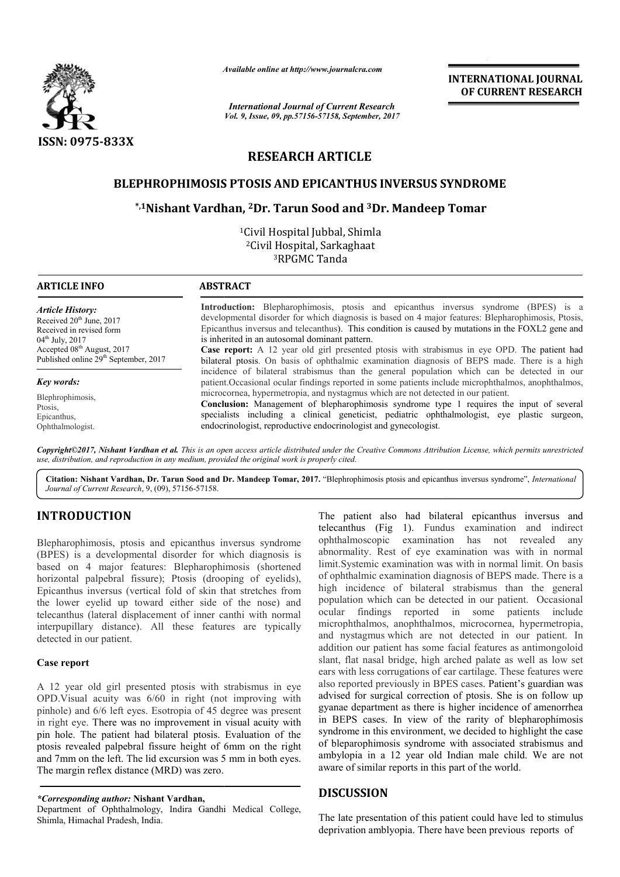

*Available online at http://www.journal http://www.journalcra.com*

*International Journal of Current Research Vol. 9, Issue, 09, pp.57156-57158, September, 2017* **INTERNATIONAL JOURNAL OF CURRENT RESEARCH** 

# **RESEARCH ARTICLE**

## **BLEPHROPHIMOSIS PTOSIS AND EPICANTHUS INVERSUS SYNDROME**

## **\*,1Nishant Vardhan Nishant Vardhan, 2Dr. Tarun Sood and 3Dr. Mandeep Tomar Mandeep**

1Civil Hospital Jubbal, Shimla 2Civil Hospital, Sarkaghaat 3RPGMC Tanda

| <b>ARTICLE INFO</b>                                                                                                                                        | <b>ABSTRACT</b>                                                                                                                                                                                                                                                                                                                                                                                                                                                                                                                                             |
|------------------------------------------------------------------------------------------------------------------------------------------------------------|-------------------------------------------------------------------------------------------------------------------------------------------------------------------------------------------------------------------------------------------------------------------------------------------------------------------------------------------------------------------------------------------------------------------------------------------------------------------------------------------------------------------------------------------------------------|
| <b>Article History:</b><br>Received $20th$ June, 2017<br>Received in revised form<br>$04^{\text{th}}$ July, 2017<br>Accepted 08 <sup>th</sup> August, 2017 | <b>Introduction:</b> Blepharophimosis, ptosis and epicanthus inversus syndrome (BPES) is a<br>developmental disorder for which diagnosis is based on 4 major features: Blepharophimosis, Ptosis,<br>Epicanthus inversus and telecanthus). This condition is caused by mutations in the FOXL2 gene and<br>is inherited in an autosomal dominant pattern.<br><b>Case report:</b> A 12 year old girl presented ptosis with strabismus in eye OPD. The patient had                                                                                              |
| Published online 29 <sup>th</sup> September, 2017                                                                                                          | bilateral ptosis. On basis of ophthalmic examination diagnosis of BEPS made. There is a high                                                                                                                                                                                                                                                                                                                                                                                                                                                                |
| Key words:                                                                                                                                                 | incidence of bilateral strabismus than the general population which can be detected in our<br>patient. Occasional ocular findings reported in some patients include microphthalmos, anophthalmos,<br>microcornea, hypermetropia, and nystagmus which are not detected in our patient.<br><b>Conclusion:</b> Management of blepharophimosis syndrome type 1 requires the input of several<br>specialists including a clinical geneticist, pediatric ophthalmologist, eye plastic surgeon,<br>endocrinologist, reproductive endocrinologist and gynecologist. |
| Blephrophimosis,<br>Ptosis.<br>Epicanthus,<br>Ophthalmologist.                                                                                             |                                                                                                                                                                                                                                                                                                                                                                                                                                                                                                                                                             |

*Copyright©2017, Nishant Vardhan et al. This is an open access article distributed under the Creative Commons Att Attribution License, which ribution which permits unrestricted use, distribution, and reproduction in any medium, provided the original work is properly cited.*

Citation: Nishant Vardhan, Dr. Tarun Sood and Dr. Mandeep Tomar, 2017. "Blephrophimosis ptosis and epicanthus inversus syndrome", *International Journal of Current Research*, 9, (09), 57156-57158.

# **INTRODUCTION**

Blepharophimosis, ptosis and epicanthus inversus syndrome (BPES) is a developmental disorder for which diagnosis is based on 4 major features: Blepharophimosis (shortened horizontal palpebral fissure); Ptosis (drooping of eyelids), Epicanthus inversus (vertical fold of skin that stretches from the lower eyelid up toward either side of the nose) and telecanthus (lateral displacement of inner canthi with normal interpupillary distance). All these features are typically detected in our patient.

#### **Case report**

A 12 year old girl presented ptosis with strabismus in eye OPD.Visual acuity was 6/60 in right (not improving with pinhole) and 6/6 left eyes. Esotropia of 45 degree was present in right eye. There was no improvement in visual acuity with pin hole. The patient had bilateral ptosis. Evaluation of the ptosis revealed palpebral fissure height of 6mm on the right and 7mm on the left. The lid excursion was 5 mm in both eyes. The margin reflex distance (MRD) was zero.

### *\*Corresponding author:* **Nishant Vardhan,**

Department of Ophthalmology, Indira Gandhi Medical College, Shimla, Himachal Pradesh, India.

The patient also had bilateral epicanthus<br>thus inversus syndrome<br>obthalmoscopic examination has not<br>r for which diagnosis is abhormality. Rest of eye examination has not<br>harophimosis (shortened limit.Systemic examination w telecanthus (Fig 1). Fundus examination and indirect ophthalmoscopic examination has not revealed any abnormality. Rest of eye examination was with in normal limit.Systemic examination was with in normal limit. On basis of ophthalmic examination diagnosis of BEPS made. There is a high incidence of bilateral strabismus than the general population which can be detected in our patient. Occasional ocular findings reported in some patients include high incidence of bilateral strabismus than the general population which can be detected in our patient. Occasional ocular findings reported in some patients include microphthalmos, anophthalmos, microcornea, hypermetropia and nystagmus which are not detected in our patient. In addition our patient has some facial features as antimongoloid slant, flat nasal bridge, high arched palate as well as low set ears with less corrugations of ear cartilage. These features were also reported previously in BPES cases. Patient's guardian was advised for surgical correction of ptosis. She is on follow up gyanae department as there is higher incidence of amenorrhea in BEPS cases. In view of the rarity of blepharophimosis syndrome in this environment, we decided to highlight the case of bleparophimosis syndrome with associated strabismus and ambylopia in a 12 year old Indian male child. We are not aware of similar reports in this part of the world. The patient also had bilateral epicanthus inversus and ophthalmoscopic examination has not revealed any abnormality. Rest of eye examination was with in normal limit. Systemic examination was with in normal limit. On basis ur patient has some facial features as antimongoloid<br>nasal bridge, high arched palate as well as low set<br>ess corrugations of ear cartilage. These features were male department as there is higher incidence of am<br>BEPS cases. In view of the rarity of blepharor<br>drome in this environment, we decided to highlight<br>bleparophimosis syndrome with associated strabis<br>bylopia in a 12 year old

### **DISCUSSION**

The late presentation of this patient could have led to stimulus deprivation amblyopia. There have been previous reports of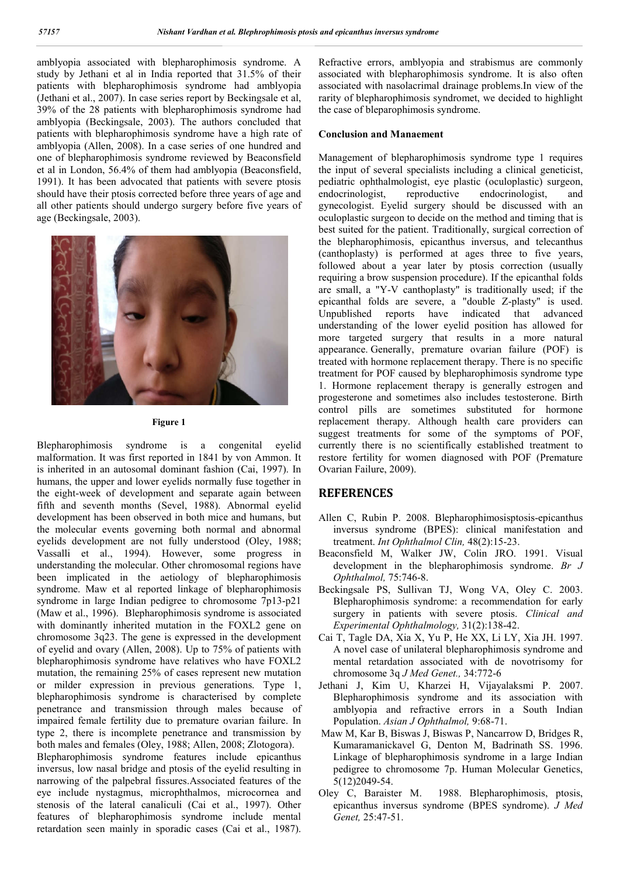amblyopia associated with blepharophimosis syndrome. A study by Jethani et al in India reported that 31.5% of their patients with blepharophimosis syndrome had amblyopia (Jethani et al., 2007). In case series report by Beckingsale et al, 39% of the 28 patients with blepharophimosis syndrome had amblyopia (Beckingsale, 2003). The authors concluded that patients with blepharophimosis syndrome have a high rate of amblyopia (Allen, 2008). In a case series of one hundred and one of blepharophimosis syndrome reviewed by Beaconsfield et al in London, 56.4% of them had amblyopia (Beaconsfield, 1991). It has been advocated that patients with severe ptosis should have their ptosis corrected before three years of age and all other patients should undergo surgery before five years of age (Beckingsale, 2003).



#### **Figure 1**

Blepharophimosis syndrome is a congenital eyelid malformation. It was first reported in 1841 by von Ammon. It is inherited in an autosomal dominant fashion (Cai, 1997). In humans, the upper and lower eyelids normally fuse together in the eight-week of development and separate again between fifth and seventh months (Sevel, 1988). Abnormal eyelid development has been observed in both mice and humans, but the molecular events governing both normal and abnormal eyelids development are not fully understood (Oley, 1988; Vassalli et al., 1994). However, some progress in understanding the molecular. Other chromosomal regions have been implicated in the aetiology of blepharophimosis syndrome. Maw et al reported linkage of blepharophimosis syndrome in large Indian pedigree to chromosome 7p13-p21 (Maw et al., 1996). Blepharophimosis syndrome is associated with dominantly inherited mutation in the FOXL2 gene on chromosome 3q23. The gene is expressed in the development of eyelid and ovary (Allen, 2008). Up to 75% of patients with blepharophimosis syndrome have relatives who have FOXL2 mutation, the remaining 25% of cases represent new mutation or milder expression in previous generations. Type 1, blepharophimosis syndrome is characterised by complete penetrance and transmission through males because of impaired female fertility due to premature ovarian failure. In type 2, there is incomplete penetrance and transmission by both males and females (Oley, 1988; Allen, 2008; Zlotogora). Blepharophimosis syndrome features include epicanthus inversus, low nasal bridge and ptosis of the eyelid resulting in narrowing of the palpebral fissures.Associated features of the eye include nystagmus, microphthalmos, microcornea and stenosis of the lateral canaliculi (Cai et al., 1997). Other features of blepharophimosis syndrome include mental retardation seen mainly in sporadic cases (Cai et al., 1987).

Refractive errors, amblyopia and strabismus are commonly associated with blepharophimosis syndrome. It is also often associated with nasolacrimal drainage problems.In view of the rarity of blepharophimosis syndromet, we decided to highlight the case of bleparophimosis syndrome.

#### **Conclusion and Manaement**

Management of blepharophimosis syndrome type 1 requires the input of several specialists including a clinical geneticist, pediatric ophthalmologist, eye plastic (oculoplastic) surgeon, endocrinologist, reproductive endocrinologist, and gynecologist. Eyelid surgery should be discussed with an oculoplastic surgeon to decide on the method and timing that is best suited for the patient. Traditionally, surgical correction of the blepharophimosis, epicanthus inversus, and telecanthus (canthoplasty) is performed at ages three to five years, followed about a year later by ptosis correction (usually requiring a brow suspension procedure). If the epicanthal folds are small, a "Y-V canthoplasty" is traditionally used; if the epicanthal folds are severe, a "double Z-plasty" is used. Unpublished reports have indicated that advanced understanding of the lower eyelid position has allowed for more targeted surgery that results in a more natural appearance. Generally, premature ovarian failure (POF) is treated with hormone replacement therapy. There is no specific treatment for POF caused by blepharophimosis syndrome type 1. Hormone replacement therapy is generally estrogen and progesterone and sometimes also includes testosterone. Birth control pills are sometimes substituted for hormone replacement therapy. Although health care providers can suggest treatments for some of the symptoms of POF, currently there is no scientifically established treatment to restore fertility for women diagnosed with POF (Premature Ovarian Failure, 2009).

### **REFERENCES**

- Allen C, Rubin P. 2008. Blepharophimosisptosis-epicanthus inversus syndrome (BPES): clinical manifestation and treatment. *Int Ophthalmol Clin,* 48(2):15-23.
- Beaconsfield M, Walker JW, Colin JRO. 1991. Visual development in the blepharophimosis syndrome. *Br J Ophthalmol,* 75:746-8.
- Beckingsale PS, Sullivan TJ, Wong VA, Oley C. 2003. Blepharophimosis syndrome: a recommendation for early surgery in patients with severe ptosis. *Clinical and Experimental Ophthalmology,* 31(2):138-42.
- Cai T, Tagle DA, Xia X, Yu P, He XX, Li LY, Xia JH. 1997. A novel case of unilateral blepharophimosis syndrome and mental retardation associated with de novotrisomy for chromosome 3q *J Med Genet.,* 34:772-6
- Jethani J, Kim U, Kharzei H, Vijayalaksmi P. 2007. Blepharophimosis syndrome and its association with amblyopia and refractive errors in a South Indian Population. *Asian J Ophthalmol,* 9:68-71.
- Maw M, Kar B, Biswas J, Biswas P, Nancarrow D, Bridges R, Kumaramanickavel G, Denton M, Badrinath SS. 1996. Linkage of blepharophimosis syndrome in a large Indian pedigree to chromosome 7p. Human Molecular Genetics, 5(12)2049-54.
- Oley C, Baraister M. 1988. Blepharophimosis, ptosis, epicanthus inversus syndrome (BPES syndrome). *J Med Genet,* 25:47-51.